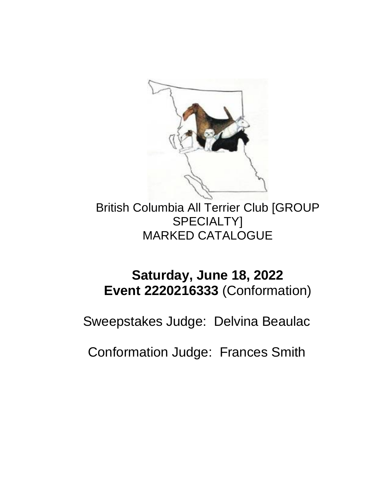

British Columbia All Terrier Club [GROUP SPECIALTY] MARKED CATALOGUE

# **Saturday, June 18, 2022 Event 2220216333** (Conformation)

Sweepstakes Judge: Delvina Beaulac

Conformation Judge: Frances Smith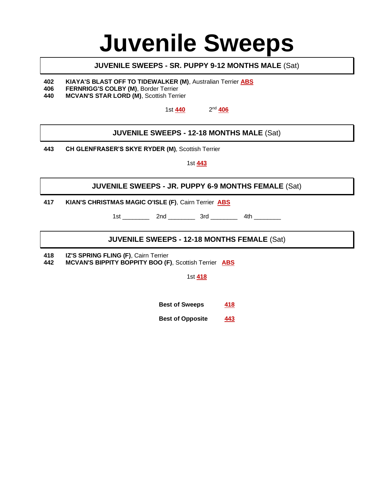# **Juvenile Sweeps**

# **JUVENILE SWEEPS - SR. PUPPY 9-12 MONTHS MALE** (Sat)

**402 KIAYA'S BLAST OFF TO TIDEWALKER (M)**, Australian Terrier **ABS**

- **406 FERNRIGG'S COLBY (M)**, Border Terrier
- **440 MCVAN'S STAR LORD (M)**, Scottish Terrier

1st **440** 2 2<sup>nd</sup> 406

# **JUVENILE SWEEPS - 12-18 MONTHS MALE** (Sat)

**443 CH GLENFRASER'S SKYE RYDER (M)**, Scottish Terrier

1st **443**

# **JUVENILE SWEEPS - JR. PUPPY 6-9 MONTHS FEMALE** (Sat)

**417 KIAN'S CHRISTMAS MAGIC O'ISLE (F)**, Cairn Terrier **ABS**

1st \_\_\_\_\_\_\_\_\_\_\_\_ 2nd \_\_\_\_\_\_\_\_\_\_ 3rd \_\_\_\_\_\_\_\_\_\_ 4th \_\_\_\_\_\_\_\_\_\_

# **JUVENILE SWEEPS - 12-18 MONTHS FEMALE** (Sat)

**418 IZ'S SPRING FLING (F)**, Cairn Terrier

**442 MCVAN'S BIPPITY BOPPITY BOO (F)**, Scottish Terrier **ABS**

1st **418**

**Best of Sweeps 418**

**Best of Opposite 443**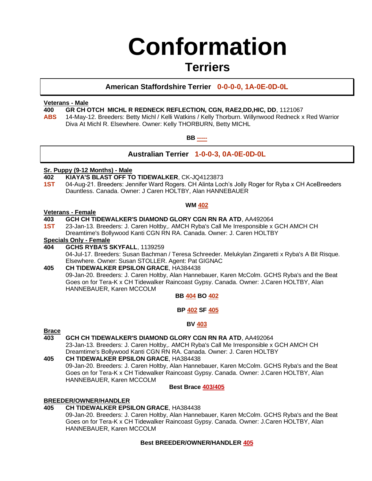# **Conformation**

# **Terriers**

# **American Staffordshire Terrier 0-0-0-0, 1A-0E-0D-0L**

# **Veterans - Male**

**400 GR CH OTCH MICHL R REDNECK REFLECTION, CGN, RAE2,DD,HIC, DD**, 1121067

**ABS** 14-May-12. Breeders: Betty Michl / Kelli Watkins / Kelly Thorburn. Willynwood Redneck x Red Warrior Diva At Michl R. Elsewhere. Owner: Kelly THORBURN, Betty MICHL

#### **BB -----**

# **Australian Terrier 1-0-0-3, 0A-0E-0D-0L**

# **Sr. Puppy (9-12 Months) - Male**

- **402 KIAYA'S BLAST OFF TO TIDEWALKER**, CK-JQ4123873
- **1ST** 04-Aug-21. Breeders: Jennifer Ward Rogers. CH Alinta Loch's Jolly Roger for Ryba x CH AceBreeders Dauntless. Canada. Owner: J Caren HOLTBY, Alan HANNEBAUER

#### **WM 402**

#### **Veterans - Female**

# **403 GCH CH TIDEWALKER'S DIAMOND GLORY CGN RN RA ATD**, AA492064

**1ST** 23-Jan-13. Breeders: J. Caren Holtby,. AMCH Ryba's Call Me Irresponsible x GCH AMCH CH Dreamtime's Bollywood Kanti CGN RN RA. Canada. Owner: J. Caren HOLTBY

### **Specials Only - Female**

**404 GCHS RYBA'S SKYFALL**, 1139259 04-Jul-17. Breeders: Susan Bachman / Teresa Schreeder. Melukylan Zingaretti x Ryba's A Bit Risque. Elsewhere. Owner: Susan STOLLER. Agent: Pat GIGNAC

#### **405 CH TIDEWALKER EPSILON GRACE**, HA384438 09-Jan-20. Breeders: J. Caren Holtby, Alan Hannebauer, Karen McColm. GCHS Ryba's and the Beat

Goes on for Tera-K x CH Tidewalker Raincoast Gypsy. Canada. Owner: J.Caren HOLTBY, Alan HANNEBAUER, Karen MCCOLM

**BB 404 BO 402**

**BP 402 SF 405**

# **BV 403**

# **Brace**

# **403 GCH CH TIDEWALKER'S DIAMOND GLORY CGN RN RA ATD**, AA492064

23-Jan-13. Breeders: J. Caren Holtby,. AMCH Ryba's Call Me Irresponsible x GCH AMCH CH Dreamtime's Bollywood Kanti CGN RN RA. Canada. Owner: J. Caren HOLTBY

**405 CH TIDEWALKER EPSILON GRACE**, HA384438 09-Jan-20. Breeders: J. Caren Holtby, Alan Hannebauer, Karen McColm. GCHS Ryba's and the Beat Goes on for Tera-K x CH Tidewalker Raincoast Gypsy. Canada. Owner: J.Caren HOLTBY, Alan HANNEBAUER, Karen MCCOLM

#### **Best Brace 403/405**

# **BREEDER/OWNER/HANDLER**

# **405 CH TIDEWALKER EPSILON GRACE**, HA384438

09-Jan-20. Breeders: J. Caren Holtby, Alan Hannebauer, Karen McColm. GCHS Ryba's and the Beat Goes on for Tera-K x CH Tidewalker Raincoast Gypsy. Canada. Owner: J.Caren HOLTBY, Alan HANNEBAUER, Karen MCCOLM

# **Best BREEDER/OWNER/HANDLER 405**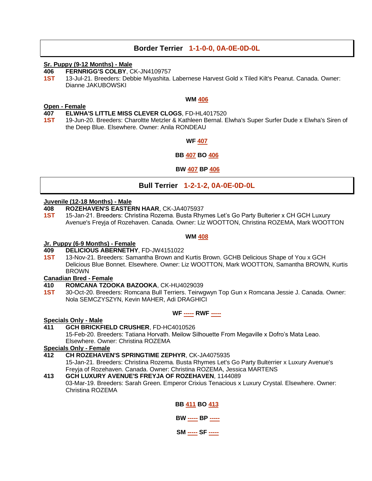# **Border Terrier 1-1-0-0, 0A-0E-0D-0L**

#### **Sr. Puppy (9-12 Months) - Male**

**406 FERNRIGG'S COLBY**, CK-JN4109757

**1ST** 13-Jul-21. Breeders: Debbie Miyashita. Labernese Harvest Gold x Tiled Kilt's Peanut. Canada. Owner: Dianne JAKUBOWSKI

#### **WM 406**

#### **Open - Female**

- **407 ELWHA'S LITTLE MISS CLEVER CLOGS**, FD-HL4017520
- **1ST** 19-Jun-20. Breeders: Charoltte Metzler & Kathleen Bernal. Elwha's Super Surfer Dude x Elwha's Siren of the Deep Blue. Elsewhere. Owner: Anila RONDEAU

#### **WF 407**

#### **BB 407 BO 406**

#### **BW 407 BP 406**

# **Bull Terrier 1-2-1-2, 0A-0E-0D-0L**

#### **Juvenile (12-18 Months) - Male**

- **408 ROZEHAVEN'S EASTERN HAAR**, CK-JA4075937
- **1ST** 15-Jan-21. Breeders: Christina Rozema. Busta Rhymes Let's Go Party Bulterier x CH GCH Luxury Avenue's Freyja of Rozehaven. Canada. Owner: Liz WOOTTON, Christina ROZEMA, Mark WOOTTON

#### **WM 408**

#### **Jr. Puppy (6-9 Months) - Female**

#### **409 DELICIOUS ABERNETHY**, FD-JW4151022

**1ST** 13-Nov-21. Breeders: Samantha Brown and Kurtis Brown. GCHB Delicious Shape of You x GCH Delicious Blue Bonnet. Elsewhere. Owner: Liz WOOTTON, Mark WOOTTON, Samantha BROWN, Kurtis BROWN

#### **Canadian Bred - Female**

- **410 ROMCANA TZOOKA BAZOOKA**, CK-HU4029039
- **1ST** 30-Oct-20. Breeders: Romcana Bull Terriers. Teirwgwyn Top Gun x Romcana Jessie J. Canada. Owner: Nola SEMCZYSZYN, Kevin MAHER, Adi DRAGHICI

# **WF ----- RWF -----**

#### **Specials Only - Male**

#### **411 GCH BRICKFIELD CRUSHER**, FD-HC4010526

15-Feb-20. Breeders: Tatiana Horvath. Meilow Silhouette From Megaville x Dofro's Mata Leao. Elsewhere. Owner: Christina ROZEMA

#### **Specials Only - Female**

- **412 CH ROZEHAVEN'S SPRINGTIME ZEPHYR**, CK-JA4075935
	- 15-Jan-21. Breeders: Christina Rozema. Busta Rhymes Let's Go Party Bulterrier x Luxury Avenue's Freyja of Rozehaven. Canada. Owner: Christina ROZEMA, Jessica MARTENS
- **413 GCH LUXURY AVENUE'S FREYJA OF ROZEHAVEN**, 1144089 03-Mar-19. Breeders: Sarah Green. Emperor Crixius Tenacious x Luxury Crystal. Elsewhere. Owner: Christina ROZEMA

# **BB 411 BO 413 BW ----- BP ----- SM ----- SF -----**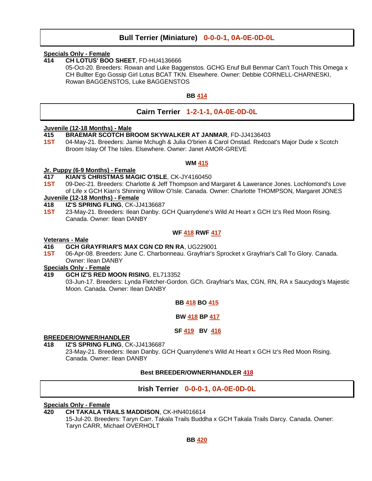# **Bull Terrier (Miniature) 0-0-0-1, 0A-0E-0D-0L**

#### **Specials Only - Female**

**414 CH LOTUS' BOO SHEET**, FD-HU4136666

05-Oct-20. Breeders: Rowan and Luke Baggenstos. GCHG Enuf Bull Benmar Can't Touch This Omega x CH Bullter Ego Gossip Girl Lotus BCAT TKN. Elsewhere. Owner: Debbie CORNELL-CHARNESKI, Rowan BAGGENSTOS, Luke BAGGENSTOS

# **BB 414**

# **Cairn Terrier 1-2-1-1, 0A-0E-0D-0L**

#### **Juvenile (12-18 Months) - Male**

- **415 BRAEMAR SCOTCH BROOM SKYWALKER AT JANMAR**, FD-JJ4136403
- **1ST** 04-May-21. Breeders: Jamie Mchugh & Julia O'brien & Carol Onstad. Redcoat's Major Dude x Scotch Broom Islay Of The Isles. Elsewhere. Owner: Janet AMOR-GREVE

#### **WM 415**

#### **Jr. Puppy (6-9 Months) - Female**

- **417 KIAN'S CHRISTMAS MAGIC O'ISLE**, CK-JY4160450
- **1ST** 09-Dec-21. Breeders: Charlotte & Jeff Thompson and Margaret & Lawerance Jones. Lochlomond's Love of Life x GCH Kian's Shinning Willow O'Isle. Canada. Owner: Charlotte THOMPSON, Margaret JONES

# **Juvenile (12-18 Months) - Female**

- **418 IZ'S SPRING FLING**, CK-JJ4136687
- **1ST** 23-May-21. Breeders: Ilean Danby. GCH Quarrydene's Wild At Heart x GCH Iz's Red Moon Rising. Canada. Owner: Ilean DANBY

#### **WF 418 RWF 417**

#### **Veterans - Male**

#### **416 GCH GRAYFRIAR'S MAX CGN CD RN RA**, UG229001

**1ST** 06-Apr-08. Breeders: June C. Charbonneau. Grayfriar's Sprocket x Grayfriar's Call To Glory. Canada. Owner: Ilean DANBY

# **Specials Only - Female**

- **419 GCH IZ'S RED MOON RISING**, EL713352
	- 03-Jun-17. Breeders: Lynda Fletcher-Gordon. GCh. Grayfriar's Max, CGN, RN, RA x Saucydog's Majestic Moon. Canada. Owner: Ilean DANBY

#### **BB 418 BO 415**

#### **BW 418 BP 417**

#### **SF 419 BV 416**

#### **BREEDER/OWNER/HANDLER**

**418 IZ'S SPRING FLING**, CK-JJ4136687

23-May-21. Breeders: Ilean Danby. GCH Quarrydene's Wild At Heart x GCH Iz's Red Moon Rising. Canada. Owner: Ilean DANBY

# **Best BREEDER/OWNER/HANDLER 418**

# **Irish Terrier 0-0-0-1, 0A-0E-0D-0L**

#### **Specials Only - Female**

- **420 CH TAKALA TRAILS MADDISON**, CK-HN4016614
	- 15-Jul-20. Breeders: Taryn Carr. Takala Trails Buddha x GCH Takala Trails Darcy. Canada. Owner: Taryn CARR, Michael OVERHOLT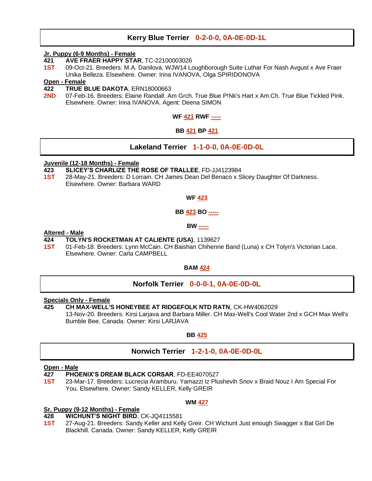# **Kerry Blue Terrier 0-2-0-0, 0A-0E-0D-1L**

#### **Jr. Puppy (6-9 Months) - Female**

- **421 AVE FRAER HAPPY STAR**, TC-22100003026
- **1ST** 09-Oct-21. Breeders: M.A. Danilova. WJW14 Loughborough Suite Luthar For Nash Avgust x Ave Fraer Unika Belleza. Elsewhere. Owner: Irina IVANOVA, Olga SPIRIDONOVA

# **Open - Female**

- **422 TRUE BLUE DAKOTA**, ERN18000663
- **2ND** 07-Feb-16. Breeders: Elaine Randall. Am Grch. True Blue P!Nk's Hart x Am.Ch. True Blue Tickled Pink. Elsewhere. Owner: Irina IVANOVA. Agent: Deena SIMON

# **WF 421 RWF -----**

# **BB 421 BP 421**

# **Lakeland Terrier 1-1-0-0, 0A-0E-0D-0L**

#### **Juvenile (12-18 Months) - Female**

- **423 SLICEY'S CHARLIZE THE ROSE OF TRALLEE**, FD-JJ4123984
- **1ST** 28-May-21. Breeders: D Lorrain. CH James Dean Del Benaco x Slicey Daughter Of Darkness. Elsewhere. Owner: Barbara WARD

#### **WF 423**

# **BB 423 BO -----**

#### **BW -----**

#### **Altered - Male**

#### **424 TOLYN'S ROCKETMAN AT CALIENTE (USA)**, 1139627

**1ST** 01-Feb-18. Breeders: Lynn McCain. CH Baishan Chihenne Band (Luna) x CH Tolyn's Victorian Lace. Elsewhere. Owner: Carla CAMPBELL

#### **BAM 424**

# **Norfolk Terrier 0-0-0-1, 0A-0E-0D-0L**

#### **Specials Only - Female**

# **425 CH MAX-WELL'S HONEYBEE AT RIDGEFOLK NTD RATN**, CK-HW4062029

13-Nov-20. Breeders: Kirsi Larjava and Barbara Miller. CH Max-Well's Cool Water 2nd x GCH Max Well's Bumble Bee. Canada. Owner: Kirsi LARJAVA

# **BB 425**

# **Norwich Terrier 1-2-1-0, 0A-0E-0D-0L**

#### **Open - Male**

**427 PHOENIX'S DREAM BLACK CORSAR**, FD-EE4070527

**1ST** 23-Mar-17. Breeders: Lucrecia Aramburu. Yamazzi Iz Plushevih Snov x Braid Nouz I Am Special For You. Elsewhere. Owner: Sandy KELLER, Kelly GREIR

#### **WM 427**

# **Sr. Puppy (9-12 Months) - Female**

- **428 WICHUNT'S NIGHT BIRD**, CK-JQ4115581
- **1ST** 27-Aug-21. Breeders: Sandy Keller and Kelly Greir. CH Wichunt Just enough Swagger x Bat Girl De Blackhill. Canada. Owner: Sandy KELLER, Kelly GREIR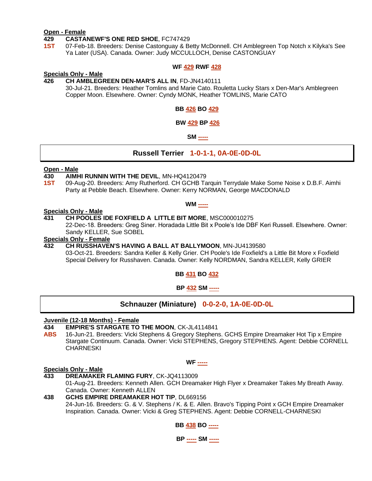#### **Open - Female**

#### **429 CASTANEWF'S ONE RED SHOE**, FC747429

**1ST** 07-Feb-18. Breeders: Denise Castonguay & Betty McDonnell. CH Amblegreen Top Notch x Kilyka's See Ya Later (USA). Canada. Owner: Judy MCCULLOCH, Denise CASTONGUAY

#### **WF 429 RWF 428**

#### **Specials Only - Male**

**426 CH AMBLEGREEN DEN-MAR'S ALL IN**, FD-JN4140111 30-Jul-21. Breeders: Heather Tomlins and Marie Cato. Rouletta Lucky Stars x Den-Mar's Amblegreen Copper Moon. Elsewhere. Owner: Cyndy MONK, Heather TOMLINS, Marie CATO

#### **BB 426 BO 429**

#### **BW 429 BP 426**

**SM -----**

# **Russell Terrier 1-0-1-1, 0A-0E-0D-0L**

#### **Open - Male**

#### **430 AIMHI RUNNIN WITH THE DEVIL**, MN-HQ4120479

**1ST** 09-Aug-20. Breeders: Amy Rutherford. CH GCHB Tarquin Terrydale Make Some Noise x D.B.F. Aimhi Party at Pebble Beach. Elsewhere. Owner: Kerry NORMAN, George MACDONALD

**WM -----**

#### **Specials Only - Male**

#### **431 CH POOLES IDE FOXFIELD A LITTLE BIT MORE**, MSC000010275

22-Dec-18. Breeders: Greg Siner. Horadada Little Bit x Poole's Ide DBF Keri Russell. Elsewhere. Owner: Sandy KELLER, Sue SOBEL

#### **Specials Only - Female**

# **432 CH RUSSHAVEN'S HAVING A BALL AT BALLYMOON**, MN-JU4139580

03-Oct-21. Breeders: Sandra Keller & Kelly Grier. CH Poole's Ide Foxfield's a Little Bit More x Foxfield Special Delivery for Russhaven. Canada. Owner: Kelly NORDMAN, Sandra KELLER, Kelly GRIER

**BB 431 BO 432**

**BP 432 SM -----**

**Schnauzer (Miniature) 0-0-2-0, 1A-0E-0D-0L**

#### **Juvenile (12-18 Months) - Female**

#### **434 EMPIRE'S STARGATE TO THE MOON**, CK-JL4114841

**ABS** 16-Jun-21. Breeders: Vicki Stephens & Gregory Stephens. GCHS Empire Dreamaker Hot Tip x Empire Stargate Continuum. Canada. Owner: Vicki STEPHENS, Gregory STEPHENS. Agent: Debbie CORNELL **CHARNESKI** 

#### **WF -----**

#### **Specials Only - Male**

- **433 DREAMAKER FLAMING FURY**, CK-JQ4113009 01-Aug-21. Breeders: Kenneth Allen. GCH Dreamaker High Flyer x Dreamaker Takes My Breath Away. Canada. Owner: Kenneth ALLEN
- **438 GCHS EMPIRE DREAMAKER HOT TIP**, DL669156 24-Jun-16. Breeders: G. & V. Stephens / K. & E. Allen. Bravo's Tipping Point x GCH Empire Dreamaker Inspiration. Canada. Owner: Vicki & Greg STEPHENS. Agent: Debbie CORNELL-CHARNESKI



**BP ----- SM -----**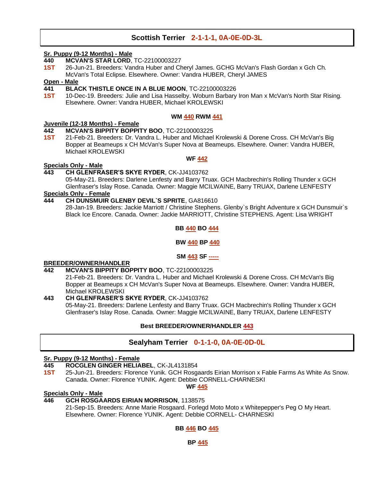# **Scottish Terrier 2-1-1-1, 0A-0E-0D-3L**

#### **Sr. Puppy (9-12 Months) - Male**

- **440 MCVAN'S STAR LORD**, TC-22100003227
- **1ST** 26-Jun-21. Breeders: Vandra Huber and Cheryl James. GCHG McVan's Flash Gordan x Gch Ch. McVan's Total Eclipse. Elsewhere. Owner: Vandra HUBER, Cheryl JAMES

# **Open - Male**

- **441 BLACK THISTLE ONCE IN A BLUE MOON**, TC-22100003226
- **1ST** 10-Dec-19. Breeders: Julie and Lisa Hasselby. Woburn Barbary Iron Man x McVan's North Star Rising. Elsewhere. Owner: Vandra HUBER, Michael KROLEWSKI

#### **WM 440 RWM 441**

#### **Juvenile (12-18 Months) - Female**

- **442 MCVAN'S BIPPITY BOPPITY BOO**, TC-22100003225
- **1ST** 21-Feb-21. Breeders: Dr. Vandra L. Huber and Michael Krolewski & Dorene Cross. CH McVan's Big Bopper at Beameups x CH McVan's Super Nova at Beameups. Elsewhere. Owner: Vandra HUBER, Michael KROLEWSKI

#### **WF 442**

# **Specials Only - Male**

# **443 CH GLENFRASER'S SKYE RYDER**, CK-JJ4103762

05-May-21. Breeders: Darlene Lenfesty and Barry Truax. GCH Macbrechin's Rolling Thunder x GCH Glenfraser's Islay Rose. Canada. Owner: Maggie MCILWAINE, Barry TRUAX, Darlene LENFESTY

# **Specials Only - Female**

**444 CH DUNSMUIR GLENBY DEVIL`S SPRITE**, GA816610 28-Jan-19. Breeders: Jackie Marriott / Christine Stephens. Glenby`s Bright Adventure x GCH Dunsmuir`s Black Ice Encore. Canada. Owner: Jackie MARRIOTT, Christine STEPHENS. Agent: Lisa WRIGHT

# **BB 440 BO 444**

# **BW 440 BP 440**

# **SM 443 SF -----**

# **BREEDER/OWNER/HANDLER**

**442 MCVAN'S BIPPITY BOPPITY BOO**, TC-22100003225

21-Feb-21. Breeders: Dr. Vandra L. Huber and Michael Krolewski & Dorene Cross. CH McVan's Big Bopper at Beameups x CH McVan's Super Nova at Beameups. Elsewhere. Owner: Vandra HUBER, Michael KROLEWSKI

**443 CH GLENFRASER'S SKYE RYDER**, CK-JJ4103762 05-May-21. Breeders: Darlene Lenfesty and Barry Truax. GCH Macbrechin's Rolling Thunder x GCH Glenfraser's Islay Rose. Canada. Owner: Maggie MCILWAINE, Barry TRUAX, Darlene LENFESTY

# **Best BREEDER/OWNER/HANDLER 443**

# **Sealyham Terrier 0-1-1-0, 0A-0E-0D-0L**

# **Sr. Puppy (9-12 Months) - Female**

- **445 ROCGLEN GINGER HELIABEL**, CK-JL4131854
- **1ST** 25-Jun-21. Breeders: Florence Yunik. GCH Rosgaards Eirian Morrison x Fable Farms As White As Snow. Canada. Owner: Florence YUNIK. Agent: Debbie CORNELL-CHARNESKI

**WF 445**

#### **Specials Only - Male**

# **446 GCH ROSGAARDS EIRIAN MORRISON**, 1138575

21-Sep-15. Breeders: Anne Marie Rosgaard. Forlegd Moto Moto x Whitepepper's Peg O My Heart. Elsewhere. Owner: Florence YUNIK. Agent: Debbie CORNELL- CHARNESKI

#### **BB 446 BO 445**

**BP 445**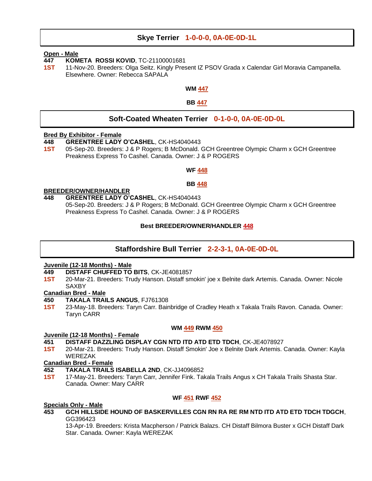# **Skye Terrier 1-0-0-0, 0A-0E-0D-1L**

#### **Open - Male**

- **447 KOMETA ROSSI KOVID**, TC-21100001681
- **1ST** 11-Nov-20. Breeders: Olga Seitz. Kingly Present IZ PSOV Grada x Calendar Girl Moravia Campanella. Elsewhere. Owner: Rebecca SAPALA

#### **WM 447**

**BB 447**

# **Soft-Coated Wheaten Terrier 0-1-0-0, 0A-0E-0D-0L**

#### **Bred By Exhibitor - Female**

- **448 GREENTREE LADY O'CASHEL**, CK-HS4040443
- **1ST** 05-Sep-20. Breeders: J & P Rogers; B McDonald. GCH Greentree Olympic Charm x GCH Greentree Preakness Express To Cashel. Canada. Owner: J & P ROGERS

#### **WF 448**

#### **BB 448**

#### **BREEDER/OWNER/HANDLER**

**448 GREENTREE LADY O'CASHEL**, CK-HS4040443 05-Sep-20. Breeders: J & P Rogers; B McDonald. GCH Greentree Olympic Charm x GCH Greentree Preakness Express To Cashel. Canada. Owner: J & P ROGERS

#### **Best BREEDER/OWNER/HANDLER 448**

# **Staffordshire Bull Terrier 2-2-3-1, 0A-0E-0D-0L**

#### **Juvenile (12-18 Months) - Male**

- **449 DISTAFF CHUFFED TO BITS**, CK-JE4081857
- **1ST** 20-Mar-21. Breeders: Trudy Hanson. Distaff smokin' joe x Belnite dark Artemis. Canada. Owner: Nicole **SAXBY**

#### **Canadian Bred - Male**

- **450 TAKALA TRAILS ANGUS**, FJ761308
- **1ST** 23-May-18. Breeders: Taryn Carr. Bainbridge of Cradley Heath x Takala Trails Ravon. Canada. Owner: Taryn CARR

#### **WM 449 RWM 450**

#### **Juvenile (12-18 Months) - Female**

- **451 DISTAFF DAZZLING DISPLAY CGN NTD ITD ATD ETD TDCH**, CK-JE4078927
- **1ST** 20-Mar-21. Breeders: Trudy Hanson. Distaff Smokin' Joe x Belnite Dark Artemis. Canada. Owner: Kayla WEREZAK

#### **Canadian Bred - Female**

- **452 TAKALA TRAILS ISABELLA 2ND**, CK-JJ4096852
- **1ST** 17-May-21. Breeders: Taryn Carr, Jennifer Fink. Takala Trails Angus x CH Takala Trails Shasta Star. Canada. Owner: Mary CARR

#### **WF 451 RWF 452**

#### **Specials Only - Male**

**453 GCH HILLSIDE HOUND OF BASKERVILLES CGN RN RA RE RM NTD ITD ATD ETD TDCH TDGCH**, GG396423

13-Apr-19. Breeders: Krista Macpherson / Patrick Balazs. CH Distaff Bilmora Buster x GCH Distaff Dark Star. Canada. Owner: Kayla WEREZAK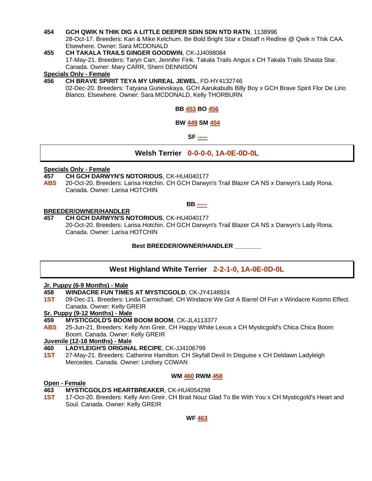#### **454 GCH QWIK N THIK DIG A LITTLE DEEPER SDIN SDN NTD RATN**, 1138996

28-Oct-17. Breeders: Kari & Mike Ketchum. Be Bold Bright Star x Distaff n Redline @ Qwik n Thik CAA. Elsewhere. Owner: Sara MCDONALD

**455 CH TAKALA TRAILS GINGER GOODWIN**, CK-JJ4098084 17-May-21. Breeders: Taryn Carr, Jennifer Fink. Takala Trails Angus x CH Takala Trails Shasta Star. Canada. Owner: Mary CARR, Sherri DENNISON

#### **Specials Only - Female**

**456 CH BRAVE SPIRIT TEYA MY UNREAL JEWEL**, FD-HY4132746 02-Dec-20. Breeders: Tatyana Gurievskaya. GCH Aarukabulls Billy Boy x GCH Brave Spirit Flor De Lirio Blanco. Elsewhere. Owner: Sara MCDONALD, Kelly THORBURN

**BB 453 BO 456**

#### **BW 449 SM 454**

**SF -----**

# **Welsh Terrier 0-0-0-0, 1A-0E-0D-0L**

#### **Specials Only - Female**

#### **457 CH GCH DARWYN'S NOTORIOUS**, CK-HU4040177

**ABS** 20-Oct-20. Breeders: Larisa Hotchin. CH GCH Darwyn's Trail Blazer CA NS x Darwyn's Lady Rona. Canada. Owner: Larisa HOTCHIN

# **BB -----**

#### **BREEDER/OWNER/HANDLER**

**457 CH GCH DARWYN'S NOTORIOUS**, CK-HU4040177

20-Oct-20. Breeders: Larisa Hotchin. CH GCH Darwyn's Trail Blazer CA NS x Darwyn's Lady Rona. Canada. Owner: Larisa HOTCHIN

#### **Best BREEDER/OWNER/HANDLER \_\_\_\_\_\_\_\_**

# **West Highland White Terrier 2-2-1-0, 1A-0E-0D-0L**

#### **Jr. Puppy (6-9 Months) - Male**

- **458 WINDACRE FUN TIMES AT MYSTICGOLD**, CK-JY4148924
- **1ST** 09-Dec-21. Breeders: Linda Carmichael. CH Windacre We Got A Barrel Of Fun x Windacre Kosmo Effect. Canada. Owner: Kelly GREIR

#### **Sr. Puppy (9-12 Months) - Male**

#### **459 MYSTICGOLD'S BOOM BOOM BOOM**, CK-JL4113377

**ABS** 25-Jun-21. Breeders: Kelly Ann Greir. CH Happy White Lexus x CH Mysticgold's Chica Chica Boom Boom. Canada. Owner: Kelly GREIR

#### **Juvenile (12-18 Months) - Male**

- **460 LADYLEIGH'S ORIGINAL RECIPE**, CK-JJ4106799
- **1ST** 27-May-21. Breeders: Catherine Hamilton. CH Skyfall Devil In Disguise x CH Deldawn Ladyleigh Mercedes. Canada. Owner: Lindsey COWAN

#### **WM 460 RWM 458**

#### **Open - Female**

#### **463 MYSTICGOLD'S HEARTBREAKER**, CK-HU4054298

**1ST** 17-Oct-20. Breeders: Kelly Ann Greir. CH Brait Nouz Glad To Be With You x CH Mysticgold's Heart and Soul. Canada. Owner: Kelly GREIR